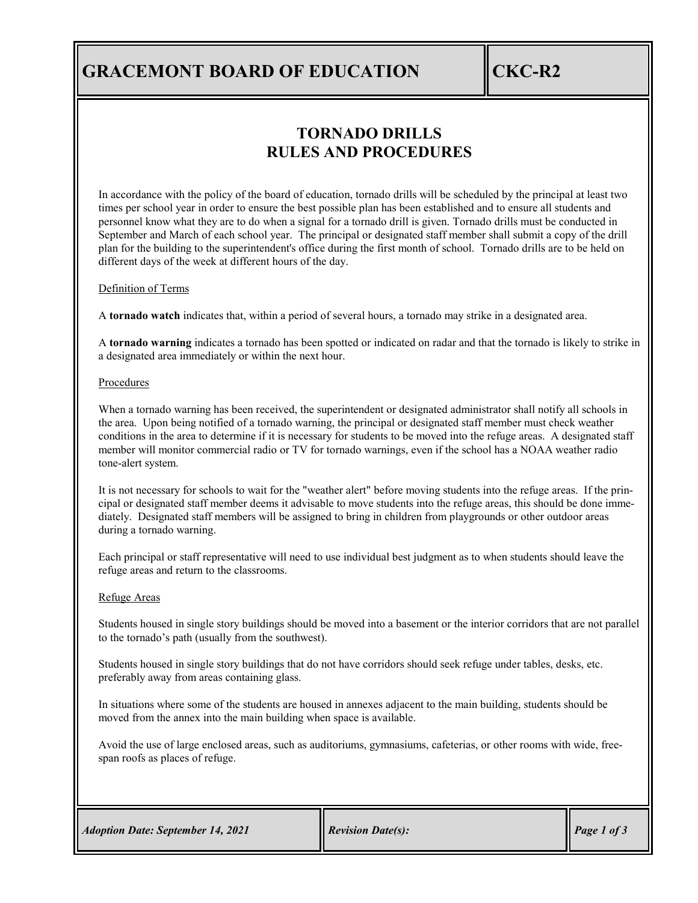## **GRACEMONT BOARD OF EDUCATION CKC-R2**

### **TORNADO DRILLS RULES AND PROCEDURES**

In accordance with the policy of the board of education, tornado drills will be scheduled by the principal at least two times per school year in order to ensure the best possible plan has been established and to ensure all students and personnel know what they are to do when a signal for a tornado drill is given. Tornado drills must be conducted in September and March of each school year. The principal or designated staff member shall submit a copy of the drill plan for the building to the superintendent's office during the first month of school. Tornado drills are to be held on different days of the week at different hours of the day.

#### Definition of Terms

A **tornado watch** indicates that, within a period of several hours, a tornado may strike in a designated area.

A **tornado warning** indicates a tornado has been spotted or indicated on radar and that the tornado is likely to strike in a designated area immediately or within the next hour.

#### **Procedures**

When a tornado warning has been received, the superintendent or designated administrator shall notify all schools in the area. Upon being notified of a tornado warning, the principal or designated staff member must check weather conditions in the area to determine if it is necessary for students to be moved into the refuge areas. A designated staff member will monitor commercial radio or TV for tornado warnings, even if the school has a NOAA weather radio tone-alert system.

It is not necessary for schools to wait for the "weather alert" before moving students into the refuge areas. If the principal or designated staff member deems it advisable to move students into the refuge areas, this should be done immediately. Designated staff members will be assigned to bring in children from playgrounds or other outdoor areas during a tornado warning.

Each principal or staff representative will need to use individual best judgment as to when students should leave the refuge areas and return to the classrooms.

#### Refuge Areas

Students housed in single story buildings should be moved into a basement or the interior corridors that are not parallel to the tornado's path (usually from the southwest).

Students housed in single story buildings that do not have corridors should seek refuge under tables, desks, etc. preferably away from areas containing glass.

In situations where some of the students are housed in annexes adjacent to the main building, students should be moved from the annex into the main building when space is available.

Avoid the use of large enclosed areas, such as auditoriums, gymnasiums, cafeterias, or other rooms with wide, freespan roofs as places of refuge.

| <b>Adoption Date: September 14, 2021</b> |
|------------------------------------------|
|------------------------------------------|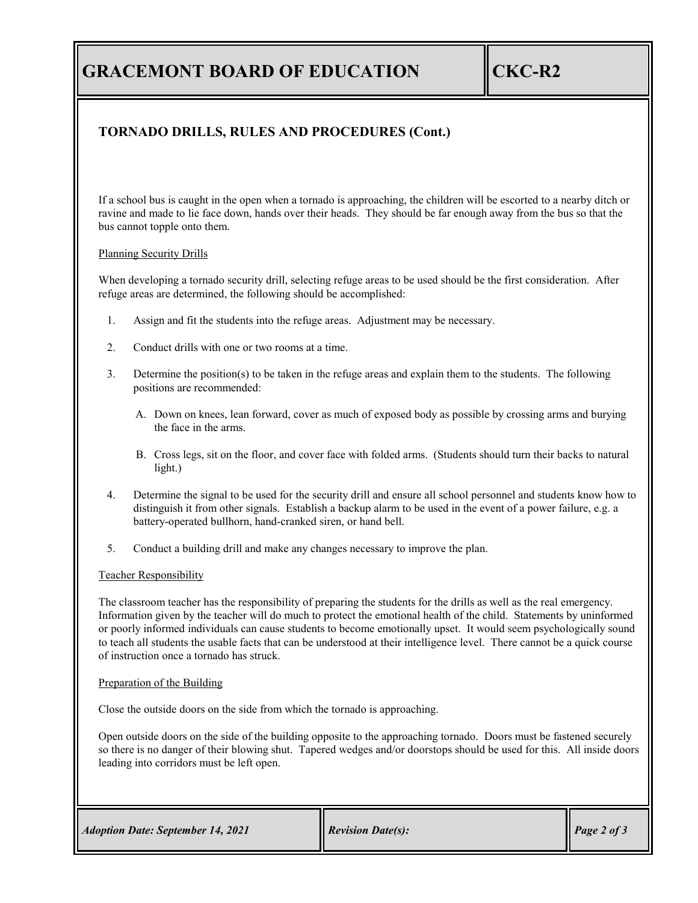# **GRACEMONT BOARD OF EDUCATION CKC-R2**

### **TORNADO DRILLS, RULES AND PROCEDURES (Cont.)**

If a school bus is caught in the open when a tornado is approaching, the children will be escorted to a nearby ditch or ravine and made to lie face down, hands over their heads. They should be far enough away from the bus so that the bus cannot topple onto them.

#### Planning Security Drills

When developing a tornado security drill, selecting refuge areas to be used should be the first consideration. After refuge areas are determined, the following should be accomplished:

- 1. Assign and fit the students into the refuge areas. Adjustment may be necessary.
- 2. Conduct drills with one or two rooms at a time.
- 3. Determine the position(s) to be taken in the refuge areas and explain them to the students. The following positions are recommended:
	- A. Down on knees, lean forward, cover as much of exposed body as possible by crossing arms and burying the face in the arms.
	- B. Cross legs, sit on the floor, and cover face with folded arms. (Students should turn their backs to natural light.)
- 4. Determine the signal to be used for the security drill and ensure all school personnel and students know how to distinguish it from other signals. Establish a backup alarm to be used in the event of a power failure, e.g. a battery-operated bullhorn, hand-cranked siren, or hand bell.
- 5. Conduct a building drill and make any changes necessary to improve the plan.

#### Teacher Responsibility

The classroom teacher has the responsibility of preparing the students for the drills as well as the real emergency. Information given by the teacher will do much to protect the emotional health of the child. Statements by uninformed or poorly informed individuals can cause students to become emotionally upset. It would seem psychologically sound to teach all students the usable facts that can be understood at their intelligence level. There cannot be a quick course of instruction once a tornado has struck.

#### Preparation of the Building

Close the outside doors on the side from which the tornado is approaching.

Open outside doors on the side of the building opposite to the approaching tornado. Doors must be fastened securely so there is no danger of their blowing shut. Tapered wedges and/or doorstops should be used for this. All inside doors leading into corridors must be left open.